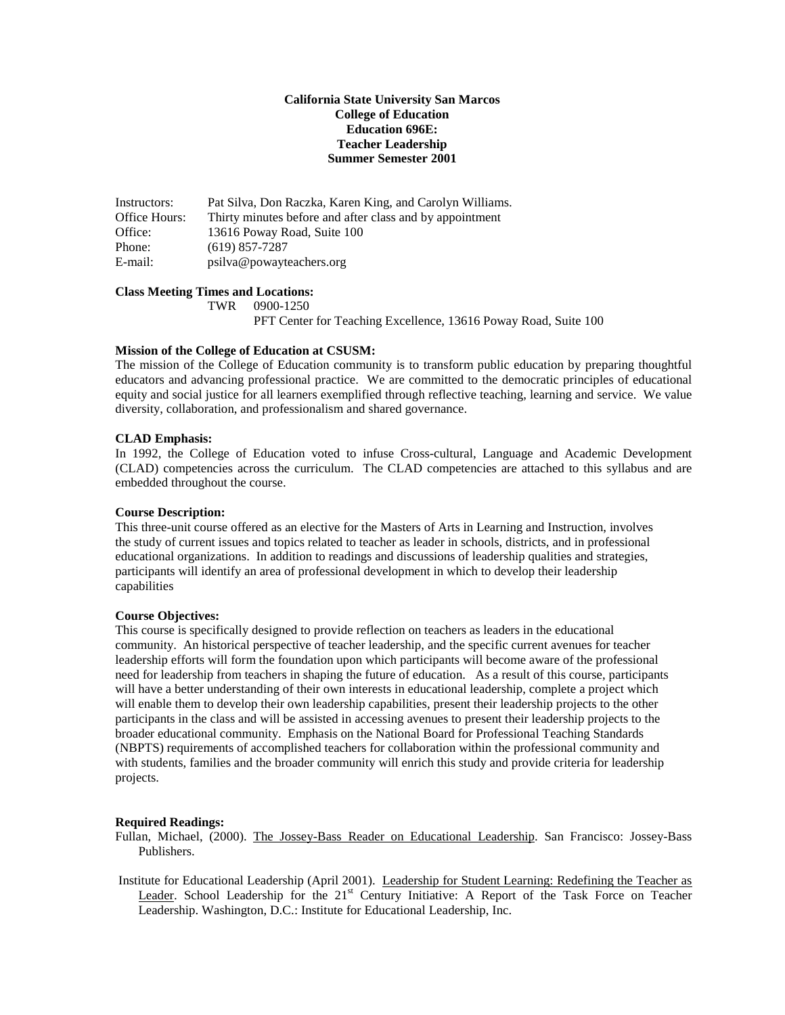# **California State University San Marcos College of Education Education 696E: Teacher Leadership Summer Semester 2001**

Instructors: Pat Silva, Don Raczka, Karen King, and Carolyn Williams. Office Hours: Thirty minutes before and after class and by appointment Office: 13616 Poway Road, Suite 100 Phone: (619) 857-7287 E-mail: psilva@powayteachers.org

# **Class Meeting Times and Locations:**

TWR 0900-1250

PFT Center for Teaching Excellence, 13616 Poway Road, Suite 100

### **Mission of the College of Education at CSUSM:**

The mission of the College of Education community is to transform public education by preparing thoughtful educators and advancing professional practice. We are committed to the democratic principles of educational equity and social justice for all learners exemplified through reflective teaching, learning and service. We value diversity, collaboration, and professionalism and shared governance.

### **CLAD Emphasis:**

In 1992, the College of Education voted to infuse Cross-cultural, Language and Academic Development (CLAD) competencies across the curriculum. The CLAD competencies are attached to this syllabus and are embedded throughout the course.

#### **Course Description:**

This three-unit course offered as an elective for the Masters of Arts in Learning and Instruction, involves the study of current issues and topics related to teacher as leader in schools, districts, and in professional educational organizations. In addition to readings and discussions of leadership qualities and strategies, participants will identify an area of professional development in which to develop their leadership capabilities

#### **Course Objectives:**

This course is specifically designed to provide reflection on teachers as leaders in the educational community. An historical perspective of teacher leadership, and the specific current avenues for teacher leadership efforts will form the foundation upon which participants will become aware of the professional need for leadership from teachers in shaping the future of education. As a result of this course, participants will have a better understanding of their own interests in educational leadership, complete a project which will enable them to develop their own leadership capabilities, present their leadership projects to the other participants in the class and will be assisted in accessing avenues to present their leadership projects to the broader educational community. Emphasis on the National Board for Professional Teaching Standards (NBPTS) requirements of accomplished teachers for collaboration within the professional community and with students, families and the broader community will enrich this study and provide criteria for leadership projects.

## **Required Readings:**

Fullan, Michael, (2000). The Jossey-Bass Reader on Educational Leadership. San Francisco: Jossey-Bass Publishers.

Institute for Educational Leadership (April 2001). Leadership for Student Learning: Redefining the Teacher as Leader. School Leadership for the 21<sup>st</sup> Century Initiative: A Report of the Task Force on Teacher Leadership. Washington, D.C.: Institute for Educational Leadership, Inc.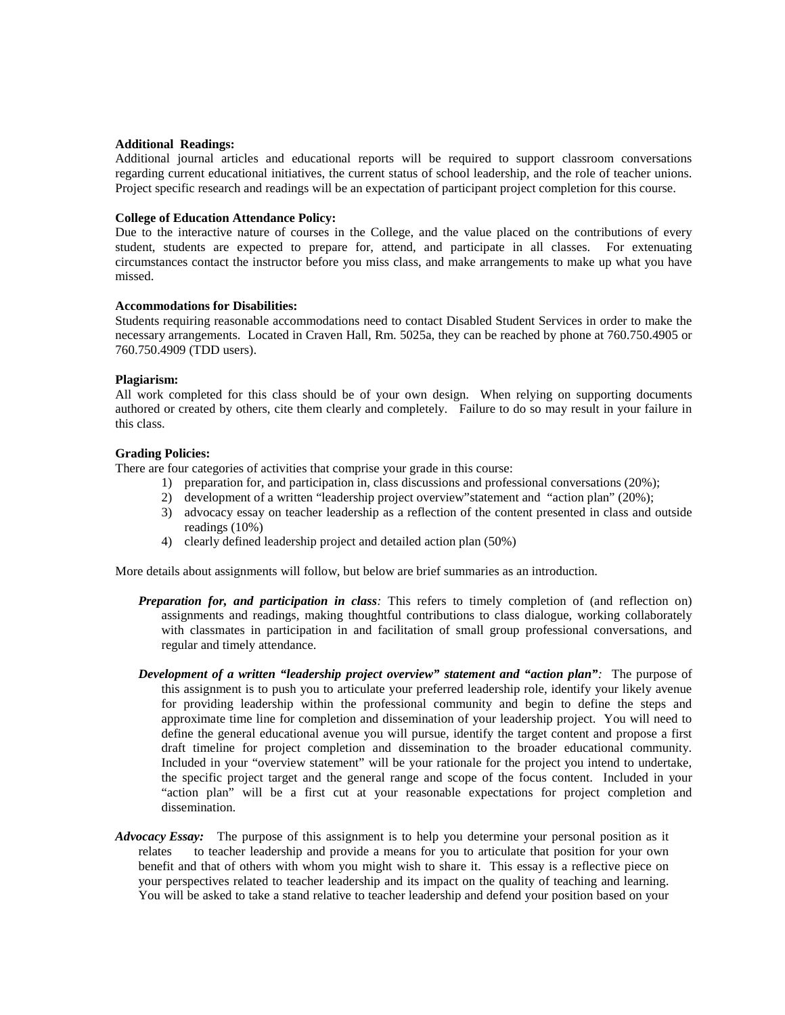### **Additional Readings:**

Additional journal articles and educational reports will be required to support classroom conversations regarding current educational initiatives, the current status of school leadership, and the role of teacher unions. Project specific research and readings will be an expectation of participant project completion for this course.

### **College of Education Attendance Policy:**

Due to the interactive nature of courses in the College, and the value placed on the contributions of every student, students are expected to prepare for, attend, and participate in all classes. For extenuating circumstances contact the instructor before you miss class, and make arrangements to make up what you have missed.

## **Accommodations for Disabilities:**

Students requiring reasonable accommodations need to contact Disabled Student Services in order to make the necessary arrangements. Located in Craven Hall, Rm. 5025a, they can be reached by phone at 760.750.4905 or 760.750.4909 (TDD users).

### **Plagiarism:**

All work completed for this class should be of your own design. When relying on supporting documents authored or created by others, cite them clearly and completely. Failure to do so may result in your failure in this class.

### **Grading Policies:**

There are four categories of activities that comprise your grade in this course:

- 1) preparation for, and participation in, class discussions and professional conversations (20%);
- 2) development of a written "leadership project overview"statement and "action plan" (20%);
- 3) advocacy essay on teacher leadership as a reflection of the content presented in class and outside readings (10%)
- 4) clearly defined leadership project and detailed action plan (50%)

More details about assignments will follow, but below are brief summaries as an introduction.

- *Preparation for, and participation in class:* This refers to timely completion of (and reflection on) assignments and readings, making thoughtful contributions to class dialogue, working collaborately with classmates in participation in and facilitation of small group professional conversations, and regular and timely attendance.
- *Development of a written "leadership project overview" statement and "action plan":* The purpose of this assignment is to push you to articulate your preferred leadership role, identify your likely avenue for providing leadership within the professional community and begin to define the steps and approximate time line for completion and dissemination of your leadership project. You will need to define the general educational avenue you will pursue, identify the target content and propose a first draft timeline for project completion and dissemination to the broader educational community. Included in your "overview statement" will be your rationale for the project you intend to undertake, the specific project target and the general range and scope of the focus content. Included in your "action plan" will be a first cut at your reasonable expectations for project completion and dissemination.
- *Advocacy Essay:* The purpose of this assignment is to help you determine your personal position as it relates to teacher leadership and provide a means for you to articulate that position for your own benefit and that of others with whom you might wish to share it. This essay is a reflective piece on your perspectives related to teacher leadership and its impact on the quality of teaching and learning. You will be asked to take a stand relative to teacher leadership and defend your position based on your